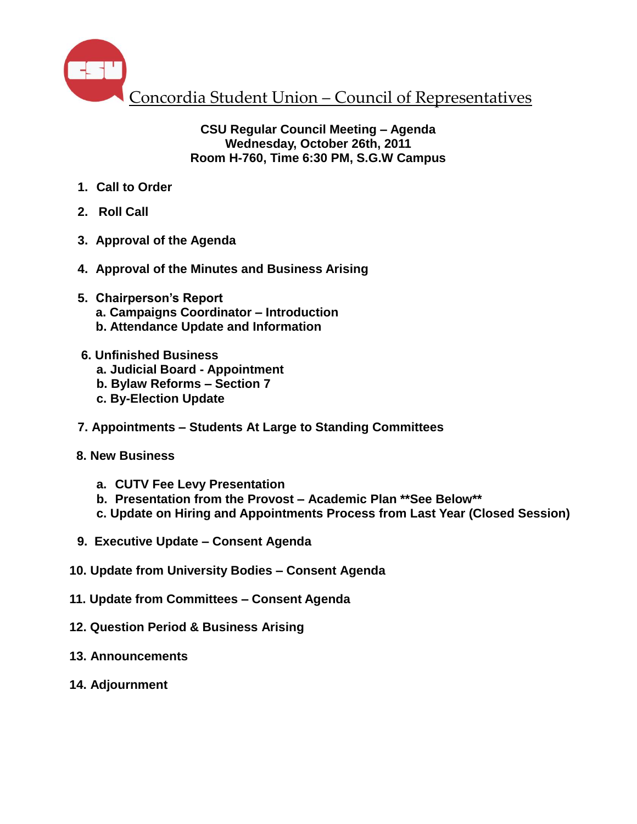

### **CSU Regular Council Meeting – Agenda Wednesday, October 26th, 2011 Room H-760, Time 6:30 PM, S.G.W Campus**

- **1. Call to Order**
- **2. Roll Call**
- **3. Approval of the Agenda**
- **4. Approval of the Minutes and Business Arising**
- **5. Chairperson's Report a. Campaigns Coordinator – Introduction b. Attendance Update and Information**
- **6. Unfinished Business**
	- **a. Judicial Board - Appointment**
	- **b. Bylaw Reforms – Section 7**
	- **c. By-Election Update**
- **7. Appointments – Students At Large to Standing Committees**
- **8. New Business**
	- **a. CUTV Fee Levy Presentation**
	- **b. Presentation from the Provost – Academic Plan \*\*See Below\*\***
	- **c. Update on Hiring and Appointments Process from Last Year (Closed Session)**
- **9. Executive Update – Consent Agenda**
- **10. Update from University Bodies – Consent Agenda**
- **11. Update from Committees – Consent Agenda**
- **12. Question Period & Business Arising**
- **13. Announcements**
- **14. Adjournment**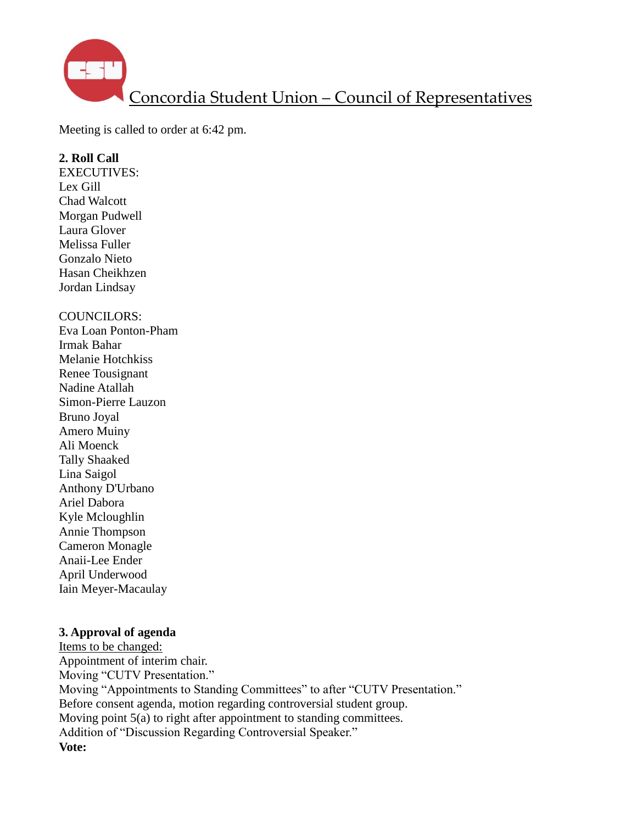

Meeting is called to order at 6:42 pm.

#### **2. Roll Call**

EXECUTIVES: Lex Gill Chad Walcott Morgan Pudwell Laura Glover Melissa Fuller Gonzalo Nieto Hasan Cheikhzen Jordan Lindsay

#### COUNCILORS:

Eva Loan Ponton-Pham Irmak Bahar Melanie Hotchkiss Renee Tousignant Nadine Atallah Simon-Pierre Lauzon Bruno Joyal Amero Muiny Ali Moenck Tally Shaaked Lina Saigol Anthony D'Urbano Ariel Dabora Kyle Mcloughlin Annie Thompson Cameron Monagle Anaii-Lee Ender April Underwood Iain Meyer-Macaulay

### **3. Approval of agenda**

Items to be changed: Appointment of interim chair. Moving "CUTV Presentation." Moving "Appointments to Standing Committees" to after "CUTV Presentation." Before consent agenda, motion regarding controversial student group. Moving point 5(a) to right after appointment to standing committees. Addition of "Discussion Regarding Controversial Speaker." **Vote:**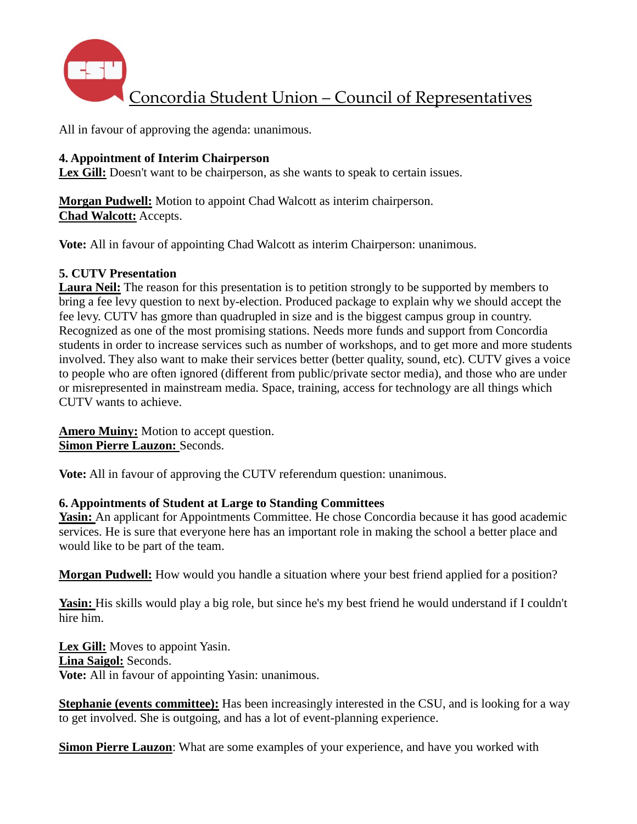

All in favour of approving the agenda: unanimous.

### **4. Appointment of Interim Chairperson**

Lex Gill: Doesn't want to be chairperson, as she wants to speak to certain issues.

**Morgan Pudwell:** Motion to appoint Chad Walcott as interim chairperson. **Chad Walcott:** Accepts.

**Vote:** All in favour of appointing Chad Walcott as interim Chairperson: unanimous.

#### **5. CUTV Presentation**

**Laura Neil:** The reason for this presentation is to petition strongly to be supported by members to bring a fee levy question to next by-election. Produced package to explain why we should accept the fee levy. CUTV has gmore than quadrupled in size and is the biggest campus group in country. Recognized as one of the most promising stations. Needs more funds and support from Concordia students in order to increase services such as number of workshops, and to get more and more students involved. They also want to make their services better (better quality, sound, etc). CUTV gives a voice to people who are often ignored (different from public/private sector media), and those who are under or misrepresented in mainstream media. Space, training, access for technology are all things which CUTV wants to achieve.

**Amero Muiny:** Motion to accept question. **Simon Pierre Lauzon:** Seconds.

**Vote:** All in favour of approving the CUTV referendum question: unanimous.

### **6. Appointments of Student at Large to Standing Committees**

**Yasin:** An applicant for Appointments Committee. He chose Concordia because it has good academic services. He is sure that everyone here has an important role in making the school a better place and would like to be part of the team.

**Morgan Pudwell:** How would you handle a situation where your best friend applied for a position?

**Yasin:** His skills would play a big role, but since he's my best friend he would understand if I couldn't hire him.

**Lex Gill:** Moves to appoint Yasin. **Lina Saigol:** Seconds. **Vote:** All in favour of appointing Yasin: unanimous.

**Stephanie (events committee):** Has been increasingly interested in the CSU, and is looking for a way to get involved. She is outgoing, and has a lot of event-planning experience.

**Simon Pierre Lauzon**: What are some examples of your experience, and have you worked with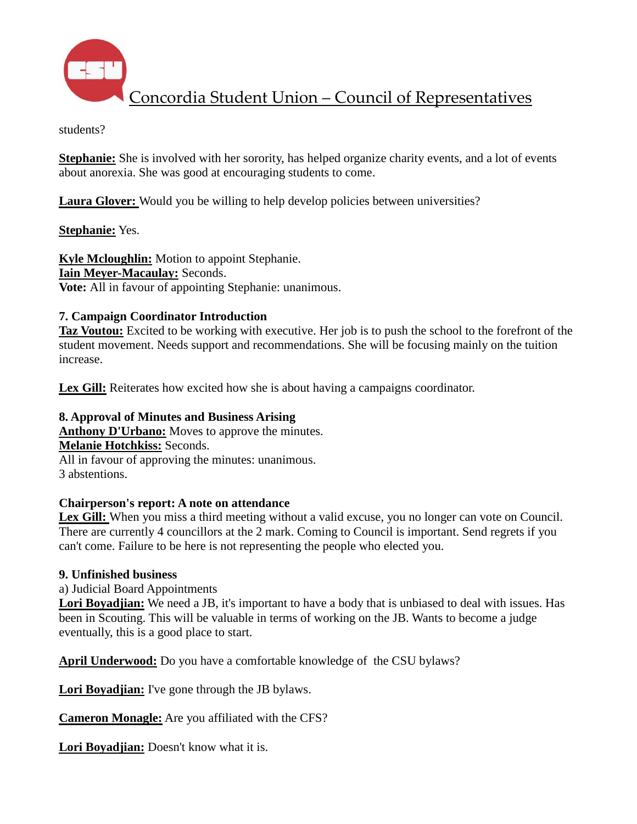

students?

**Stephanie:** She is involved with her sorority, has helped organize charity events, and a lot of events about anorexia. She was good at encouraging students to come.

**Laura Glover:** Would you be willing to help develop policies between universities?

**Stephanie:** Yes.

**Kyle Mcloughlin:** Motion to appoint Stephanie. **Iain Meyer-Macaulay:** Seconds. **Vote:** All in favour of appointing Stephanie: unanimous.

# **7. Campaign Coordinator Introduction**

**Taz Voutou:** Excited to be working with executive. Her job is to push the school to the forefront of the student movement. Needs support and recommendations. She will be focusing mainly on the tuition increase.

**Lex Gill:** Reiterates how excited how she is about having a campaigns coordinator.

# **8. Approval of Minutes and Business Arising**

**Anthony D'Urbano:** Moves to approve the minutes. **Melanie Hotchkiss:** Seconds. All in favour of approving the minutes: unanimous. 3 abstentions.

## **Chairperson's report: A note on attendance**

Lex Gill: When you miss a third meeting without a valid excuse, you no longer can vote on Council. There are currently 4 councillors at the 2 mark. Coming to Council is important. Send regrets if you can't come. Failure to be here is not representing the people who elected you.

## **9. Unfinished business**

a) Judicial Board Appointments

**Lori Boyadjian:** We need a JB, it's important to have a body that is unbiased to deal with issues. Has been in Scouting. This will be valuable in terms of working on the JB. Wants to become a judge eventually, this is a good place to start.

**April Underwood:** Do you have a comfortable knowledge of the CSU bylaws?

**Lori Boyadjian:** I've gone through the JB bylaws.

**Cameron Monagle:** Are you affiliated with the CFS?

**Lori Boyadjian:** Doesn't know what it is.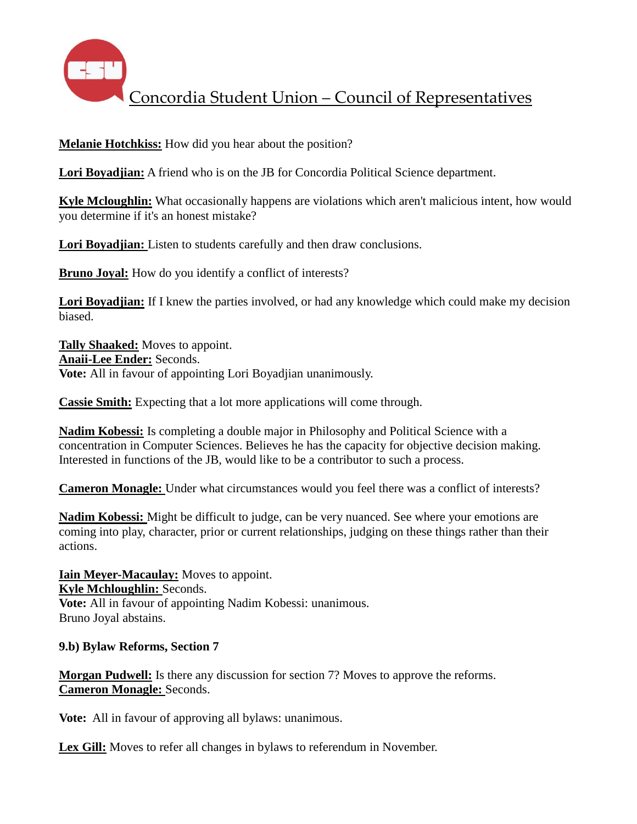

**Melanie Hotchkiss:** How did you hear about the position?

**Lori Boyadjian:** A friend who is on the JB for Concordia Political Science department.

**Kyle Mcloughlin:** What occasionally happens are violations which aren't malicious intent, how would you determine if it's an honest mistake?

**Lori Boyadjian:** Listen to students carefully and then draw conclusions.

**Bruno Joyal:** How do you identify a conflict of interests?

**Lori Boyadjian:** If I knew the parties involved, or had any knowledge which could make my decision biased.

**Tally Shaaked:** Moves to appoint. **Anaii-Lee Ender:** Seconds. **Vote:** All in favour of appointing Lori Boyadjian unanimously.

**Cassie Smith:** Expecting that a lot more applications will come through.

**Nadim Kobessi:** Is completing a double major in Philosophy and Political Science with a concentration in Computer Sciences. Believes he has the capacity for objective decision making. Interested in functions of the JB, would like to be a contributor to such a process.

**Cameron Monagle:** Under what circumstances would you feel there was a conflict of interests?

**Nadim Kobessi:** Might be difficult to judge, can be very nuanced. See where your emotions are coming into play, character, prior or current relationships, judging on these things rather than their actions.

**Iain Meyer-Macaulay:** Moves to appoint. **Kyle Mchloughlin:** Seconds. **Vote:** All in favour of appointing Nadim Kobessi: unanimous. Bruno Joyal abstains.

**9.b) Bylaw Reforms, Section 7**

**Morgan Pudwell:** Is there any discussion for section 7? Moves to approve the reforms. **Cameron Monagle:** Seconds.

**Vote:** All in favour of approving all bylaws: unanimous.

Lex Gill: Moves to refer all changes in bylaws to referendum in November.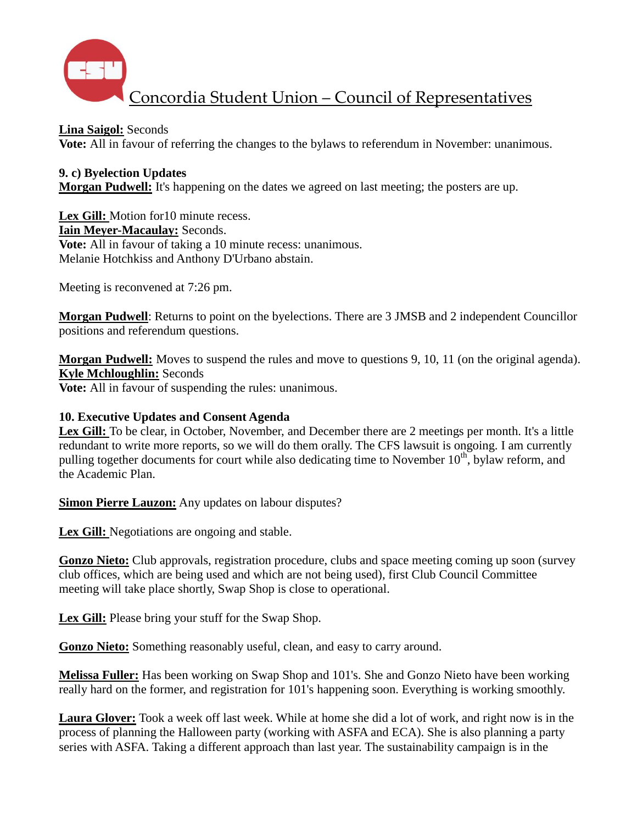

**Lina Saigol:** Seconds

**Vote:** All in favour of referring the changes to the bylaws to referendum in November: unanimous.

# **9. c) Byelection Updates**

**Morgan Pudwell:** It's happening on the dates we agreed on last meeting; the posters are up.

Lex Gill: Motion for 10 minute recess. **Iain Meyer-Macaulay:** Seconds. **Vote:** All in favour of taking a 10 minute recess: unanimous. Melanie Hotchkiss and Anthony D'Urbano abstain.

Meeting is reconvened at 7:26 pm.

**Morgan Pudwell**: Returns to point on the byelections. There are 3 JMSB and 2 independent Councillor positions and referendum questions.

**Morgan Pudwell:** Moves to suspend the rules and move to questions 9, 10, 11 (on the original agenda). **Kyle Mchloughlin:** Seconds

**Vote:** All in favour of suspending the rules: unanimous.

### **10. Executive Updates and Consent Agenda**

Lex Gill: To be clear, in October, November, and December there are 2 meetings per month. It's a little redundant to write more reports, so we will do them orally. The CFS lawsuit is ongoing. I am currently pulling together documents for court while also dedicating time to November  $10<sup>th</sup>$ , bylaw reform, and the Academic Plan.

**Simon Pierre Lauzon:** Any updates on labour disputes?

Lex Gill: Negotiations are ongoing and stable.

**Gonzo Nieto:** Club approvals, registration procedure, clubs and space meeting coming up soon (survey club offices, which are being used and which are not being used), first Club Council Committee meeting will take place shortly, Swap Shop is close to operational.

**Lex Gill:** Please bring your stuff for the Swap Shop.

**Gonzo Nieto:** Something reasonably useful, clean, and easy to carry around.

**Melissa Fuller:** Has been working on Swap Shop and 101's. She and Gonzo Nieto have been working really hard on the former, and registration for 101's happening soon. Everything is working smoothly.

**Laura Glover:** Took a week off last week. While at home she did a lot of work, and right now is in the process of planning the Halloween party (working with ASFA and ECA). She is also planning a party series with ASFA. Taking a different approach than last year. The sustainability campaign is in the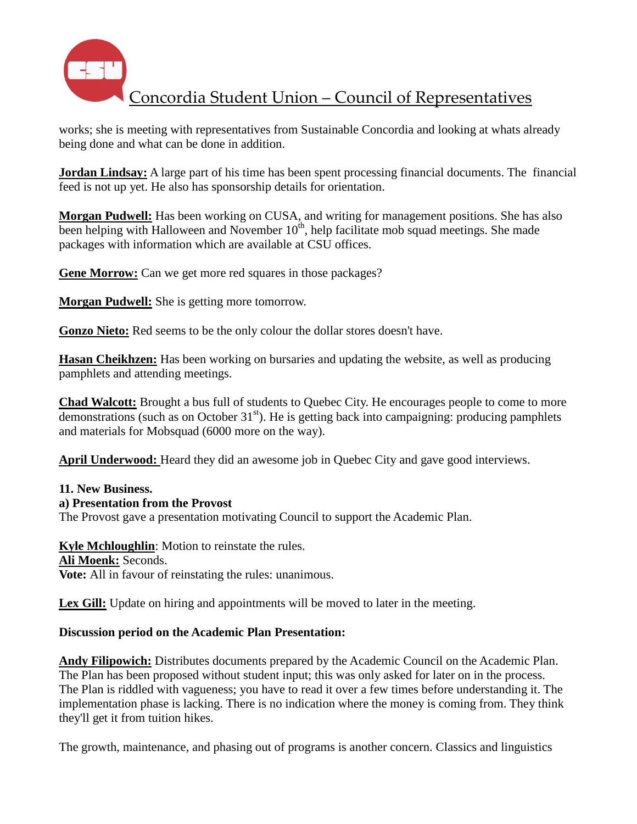

works; she is meeting with representatives from Sustainable Concordia and looking at whats already being done and what can be done in addition.

**Jordan Lindsay:** A large part of his time has been spent processing financial documents. The financial feed is not up yet. He also has sponsorship details for orientation.

**Morgan Pudwell:** Has been working on CUSA, and writing for management positions. She has also been helping with Halloween and November  $10<sup>th</sup>$ , help facilitate mob squad meetings. She made packages with information which are available at CSU offices.

**Gene Morrow:** Can we get more red squares in those packages?

**Morgan Pudwell:** She is getting more tomorrow.

**Gonzo Nieto:** Red seems to be the only colour the dollar stores doesn't have.

**Hasan Cheikhzen:** Has been working on bursaries and updating the website, as well as producing pamphlets and attending meetings.

**Chad Walcott:** Brought a bus full of students to Quebec City. He encourages people to come to more demonstrations (such as on October  $31<sup>st</sup>$ ). He is getting back into campaigning: producing pamphlets and materials for Mobsquad (6000 more on the way).

**April Underwood:** Heard they did an awesome job in Quebec City and gave good interviews.

### **11. New Business.**

### **a) Presentation from the Provost**

The Provost gave a presentation motivating Council to support the Academic Plan.

## **Kyle Mchloughlin**: Motion to reinstate the rules.

#### **Ali Moenk:** Seconds.

**Vote:** All in favour of reinstating the rules: unanimous.

Lex Gill: Update on hiring and appointments will be moved to later in the meeting.

### **Discussion period on the Academic Plan Presentation:**

**Andy Filipowich:** Distributes documents prepared by the Academic Council on the Academic Plan. The Plan has been proposed without student input; this was only asked for later on in the process. The Plan is riddled with vagueness; you have to read it over a few times before understanding it. The implementation phase is lacking. There is no indication where the money is coming from. They think they'll get it from tuition hikes.

The growth, maintenance, and phasing out of programs is another concern. Classics and linguistics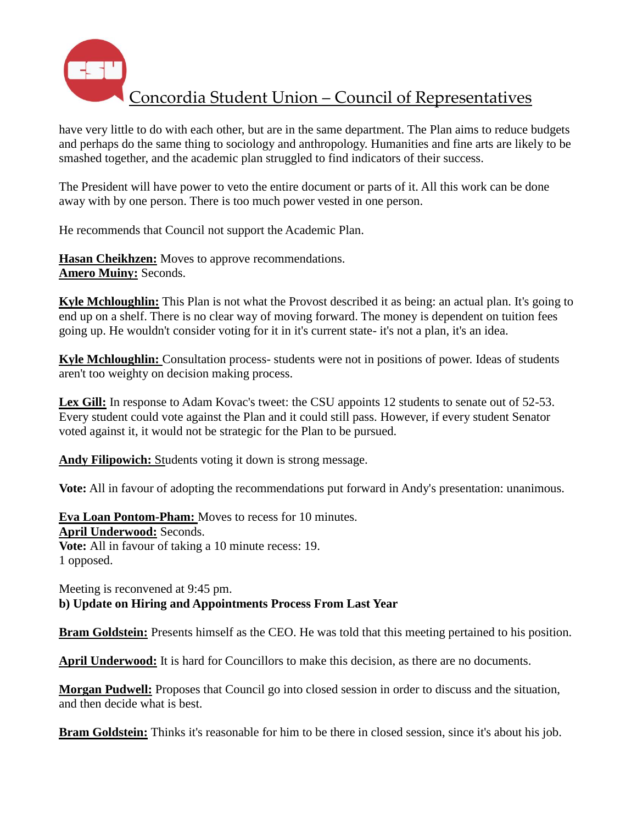

have very little to do with each other, but are in the same department. The Plan aims to reduce budgets and perhaps do the same thing to sociology and anthropology. Humanities and fine arts are likely to be smashed together, and the academic plan struggled to find indicators of their success.

The President will have power to veto the entire document or parts of it. All this work can be done away with by one person. There is too much power vested in one person.

He recommends that Council not support the Academic Plan.

**Hasan Cheikhzen:** Moves to approve recommendations. **Amero Muiny:** Seconds.

**Kyle Mchloughlin:** This Plan is not what the Provost described it as being: an actual plan. It's going to end up on a shelf. There is no clear way of moving forward. The money is dependent on tuition fees going up. He wouldn't consider voting for it in it's current state- it's not a plan, it's an idea.

**Kyle Mchloughlin:** Consultation process- students were not in positions of power. Ideas of students aren't too weighty on decision making process.

Lex Gill: In response to Adam Kovac's tweet: the CSU appoints 12 students to senate out of 52-53. Every student could vote against the Plan and it could still pass. However, if every student Senator voted against it, it would not be strategic for the Plan to be pursued.

**Andy Filipowich:** Students voting it down is strong message.

**Vote:** All in favour of adopting the recommendations put forward in Andy's presentation: unanimous.

**Eva Loan Pontom-Pham:** Moves to recess for 10 minutes. **April Underwood:** Seconds. **Vote:** All in favour of taking a 10 minute recess: 19. 1 opposed.

Meeting is reconvened at 9:45 pm. **b) Update on Hiring and Appointments Process From Last Year**

**Bram Goldstein:** Presents himself as the CEO. He was told that this meeting pertained to his position.

**April Underwood:** It is hard for Councillors to make this decision, as there are no documents.

**Morgan Pudwell:** Proposes that Council go into closed session in order to discuss and the situation, and then decide what is best.

**Bram Goldstein:** Thinks it's reasonable for him to be there in closed session, since it's about his job.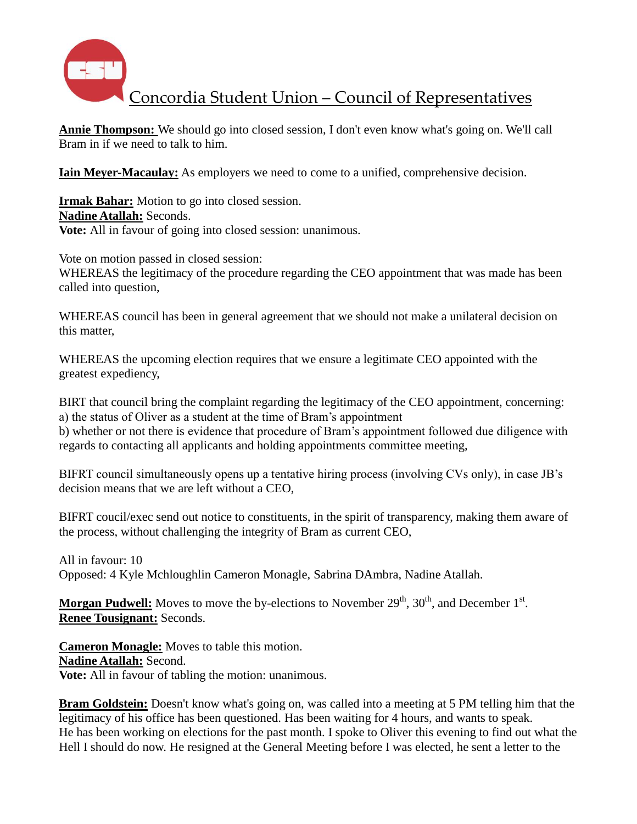

**Annie Thompson:** We should go into closed session, I don't even know what's going on. We'll call Bram in if we need to talk to him.

**Iain Meyer-Macaulay:** As employers we need to come to a unified, comprehensive decision.

**Irmak Bahar:** Motion to go into closed session. **Nadine Atallah:** Seconds. **Vote:** All in favour of going into closed session: unanimous.

Vote on motion passed in closed session: WHEREAS the legitimacy of the procedure regarding the CEO appointment that was made has been called into question,

WHEREAS council has been in general agreement that we should not make a unilateral decision on this matter,

WHEREAS the upcoming election requires that we ensure a legitimate CEO appointed with the greatest expediency,

BIRT that council bring the complaint regarding the legitimacy of the CEO appointment, concerning: a) the status of Oliver as a student at the time of Bram's appointment b) whether or not there is evidence that procedure of Bram's appointment followed due diligence with

regards to contacting all applicants and holding appointments committee meeting,

BIFRT council simultaneously opens up a tentative hiring process (involving CVs only), in case JB's decision means that we are left without a CEO,

BIFRT coucil/exec send out notice to constituents, in the spirit of transparency, making them aware of the process, without challenging the integrity of Bram as current CEO,

All in favour: 10 Opposed: 4 Kyle Mchloughlin Cameron Monagle, Sabrina DAmbra, Nadine Atallah.

Morgan Pudwell: Moves to move the by-elections to November 29<sup>th</sup>, 30<sup>th</sup>, and December 1<sup>st</sup>. **Renee Tousignant:** Seconds.

**Cameron Monagle:** Moves to table this motion. **Nadine Atallah:** Second. **Vote:** All in favour of tabling the motion: unanimous.

**Bram Goldstein:** Doesn't know what's going on, was called into a meeting at 5 PM telling him that the legitimacy of his office has been questioned. Has been waiting for 4 hours, and wants to speak. He has been working on elections for the past month. I spoke to Oliver this evening to find out what the Hell I should do now. He resigned at the General Meeting before I was elected, he sent a letter to the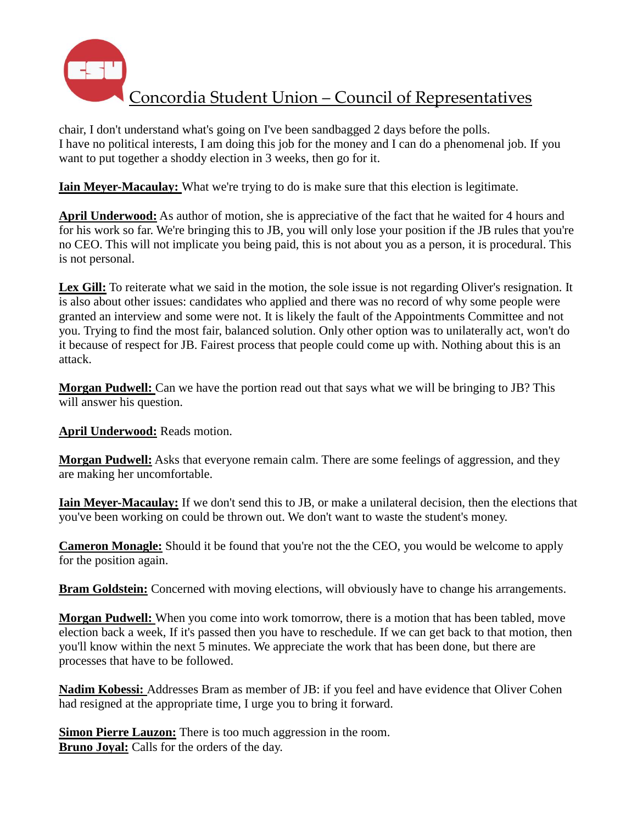

chair, I don't understand what's going on I've been sandbagged 2 days before the polls. I have no political interests, I am doing this job for the money and I can do a phenomenal job. If you want to put together a shoddy election in 3 weeks, then go for it.

**Iain Meyer-Macaulay:** What we're trying to do is make sure that this election is legitimate.

**April Underwood:** As author of motion, she is appreciative of the fact that he waited for 4 hours and for his work so far. We're bringing this to JB, you will only lose your position if the JB rules that you're no CEO. This will not implicate you being paid, this is not about you as a person, it is procedural. This is not personal.

Lex Gill: To reiterate what we said in the motion, the sole issue is not regarding Oliver's resignation. It is also about other issues: candidates who applied and there was no record of why some people were granted an interview and some were not. It is likely the fault of the Appointments Committee and not you. Trying to find the most fair, balanced solution. Only other option was to unilaterally act, won't do it because of respect for JB. Fairest process that people could come up with. Nothing about this is an attack.

**Morgan Pudwell:** Can we have the portion read out that says what we will be bringing to JB? This will answer his question.

**April Underwood:** Reads motion.

**Morgan Pudwell:** Asks that everyone remain calm. There are some feelings of aggression, and they are making her uncomfortable.

**Iain Meyer-Macaulay:** If we don't send this to JB, or make a unilateral decision, then the elections that you've been working on could be thrown out. We don't want to waste the student's money.

**Cameron Monagle:** Should it be found that you're not the the CEO, you would be welcome to apply for the position again.

**Bram Goldstein:** Concerned with moving elections, will obviously have to change his arrangements.

**Morgan Pudwell:** When you come into work tomorrow, there is a motion that has been tabled, move election back a week, If it's passed then you have to reschedule. If we can get back to that motion, then you'll know within the next 5 minutes. We appreciate the work that has been done, but there are processes that have to be followed.

**Nadim Kobessi:** Addresses Bram as member of JB: if you feel and have evidence that Oliver Cohen had resigned at the appropriate time, I urge you to bring it forward.

**Simon Pierre Lauzon:** There is too much aggression in the room. **Bruno Joyal:** Calls for the orders of the day.